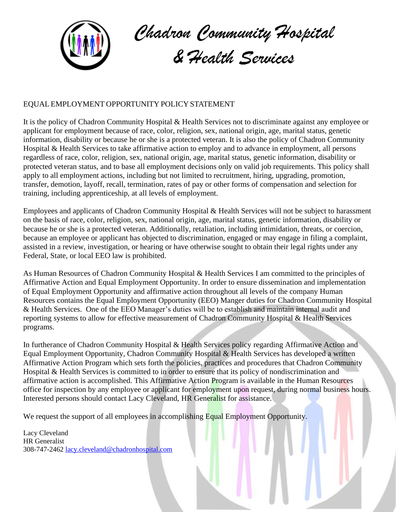

Chadron Community Hospital<br>& Health Services

## EQUAL EMPLOYMENT OPPORTUNITY POLICY STATEMENT

It is the policy of Chadron Community Hospital & Health Services not to discriminate against any employee or applicant for employment because of race, color, religion, sex, national origin, age, marital status, genetic information, disability or because he or she is a protected veteran. It is also the policy of Chadron Community Hospital & Health Services to take affirmative action to employ and to advance in employment, all persons regardless of race, color, religion, sex, national origin, age, marital status, genetic information, disability or protected veteran status, and to base all employment decisions only on valid job requirements. This policy shall apply to all employment actions, including but not limited to recruitment, hiring, upgrading, promotion, transfer, demotion, layoff, recall, termination, rates of pay or other forms of compensation and selection for training, including apprenticeship, at all levels of employment.

Employees and applicants of Chadron Community Hospital & Health Services will not be subject to harassment on the basis of race, color, religion, sex, national origin, age, marital status, genetic information, disability or because he or she is a protected veteran. Additionally, retaliation, including intimidation, threats, or coercion, because an employee or applicant has objected to discrimination, engaged or may engage in filing a complaint, assisted in a review, investigation, or hearing or have otherwise sought to obtain their legal rights under any Federal, State, or local EEO law is prohibited.

As Human Resources of Chadron Community Hospital & Health Services I am committed to the principles of Affirmative Action and Equal Employment Opportunity. In order to ensure dissemination and implementation of Equal Employment Opportunity and affirmative action throughout all levels of the company Human Resources contains the Equal Employment Opportunity (EEO) Manger duties for Chadron Community Hospital & Health Services. One of the EEO Manager's duties will be to establish and maintain internal audit and reporting systems to allow for effective measurement of Chadron Community Hospital & Health Services programs.

In furtherance of Chadron Community Hospital & Health Services policy regarding Affirmative Action and Equal Employment Opportunity, Chadron Community Hospital & Health Services has developed a written Affirmative Action Program which sets forth the policies, practices and procedures that Chadron Community Hospital & Health Services is committed to in order to ensure that its policy of nondiscrimination and affirmative action is accomplished. This Affirmative Action Program is available in the Human Resources office for inspection by any employee or applicant for employment upon request, during normal business hours. Interested persons should contact Lacy Cleveland, HR Generalist for assistance.

We request the support of all employees in accomplishing Equal Employment Opportunity.

Lacy Cleveland HR Generalist 308-747-2462 [lacy.cleveland@chadronhospital.com](mailto:lacy.cleveland@chadronhospital.com)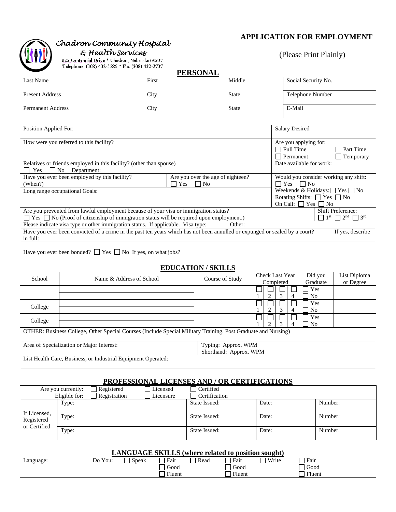

Chadron Community Hospital<br>Er Health Services<br>825 Centennial Drive \* Chadron, Nebraska 69337<br>Telephone: (308) 432-5586 \* Fax (308) 432-2737

## **APPLICATION FOR EMPLOYMENT**

# (Please Print Plainly)

| __<br><b>PERSONAL</b>    |       |              |                     |  |  |  |  |  |  |
|--------------------------|-------|--------------|---------------------|--|--|--|--|--|--|
| Last Name                | First | Middle       | Social Security No. |  |  |  |  |  |  |
| <b>Present Address</b>   | City  | <b>State</b> | Telephone Number    |  |  |  |  |  |  |
| <b>Permanent Address</b> | City  | <b>State</b> | E-Mail              |  |  |  |  |  |  |

| Position Applied For:                                                                                                                   | <b>Salary Desired</b>                                                            |                                           |  |  |
|-----------------------------------------------------------------------------------------------------------------------------------------|----------------------------------------------------------------------------------|-------------------------------------------|--|--|
| How were you referred to this facility?                                                                                                 | Are you applying for:<br>$\Box$ Full Time<br>Part Time<br>Permanent<br>Temporary |                                           |  |  |
| Relatives or friends employed in this facility? (other than spouse)                                                                     | Date available for work:                                                         |                                           |  |  |
| $\bigcap$ No Department:<br>Yes                                                                                                         |                                                                                  |                                           |  |  |
| Have you ever been employed by this facility?                                                                                           | Are you over the age of eighteen?                                                |                                           |  |  |
| (When?)                                                                                                                                 | $\Box$ Yes $\Box$ No                                                             | $\Box$ Yes $\Box$ No                      |  |  |
| Long range occupational Goals:                                                                                                          |                                                                                  | Weekends & Holidays: $\Box$ Yes $\Box$ No |  |  |
|                                                                                                                                         |                                                                                  | Rotating Shifts: □ Yes □ No               |  |  |
|                                                                                                                                         |                                                                                  | On Call: $\Box$ Yes $\Box$ No             |  |  |
| Are you prevented from lawful employment because of your visa or immigration status?                                                    |                                                                                  | <b>Shift Preference:</b>                  |  |  |
| $\Box$ Yes $\Box$ No (Proof of citizenship of immigration status will be required upon employment.)                                     | $1st \square 2nd \square 3rd$                                                    |                                           |  |  |
| Please indicate visa type or other immigration status. If applicable. Visa type:                                                        | Other:                                                                           |                                           |  |  |
| Have you ever been convicted of a crime in the past ten years which has not been annulled or expunged or sealed by a court?<br>in full: |                                                                                  | If yes, describe                          |  |  |

Have you ever been bonded?  $\Box$  Yes  $\Box$  No If yes, on what jobs?

## **EDUCATION / SKILLS**

| School                                                        | Name & Address of School                                                                                      | Course of Study     | <b>Check Last Year</b> | Did you        | List Diploma |  |  |  |  |
|---------------------------------------------------------------|---------------------------------------------------------------------------------------------------------------|---------------------|------------------------|----------------|--------------|--|--|--|--|
|                                                               |                                                                                                               |                     | Completed              | Graduate       | or Degree    |  |  |  |  |
|                                                               |                                                                                                               |                     |                        | Yes            |              |  |  |  |  |
|                                                               |                                                                                                               |                     | 3                      | - No           |              |  |  |  |  |
|                                                               |                                                                                                               |                     |                        | Yes            |              |  |  |  |  |
| College                                                       |                                                                                                               |                     | 3                      | N <sub>0</sub> |              |  |  |  |  |
|                                                               |                                                                                                               |                     |                        | Yes            |              |  |  |  |  |
| College                                                       |                                                                                                               |                     |                        | No             |              |  |  |  |  |
|                                                               | OTHER: Business College, Other Special Courses (Include Special Military Training, Post Graduate and Nursing) |                     |                        |                |              |  |  |  |  |
|                                                               |                                                                                                               |                     |                        |                |              |  |  |  |  |
|                                                               | Area of Specialization or Major Interest:                                                                     | Typing: Approx. WPM |                        |                |              |  |  |  |  |
| Shorthand: Approx. WPM                                        |                                                                                                               |                     |                        |                |              |  |  |  |  |
| List Health Care, Business, or Industrial Equipment Operated: |                                                                                                               |                     |                        |                |              |  |  |  |  |
|                                                               |                                                                                                               |                     |                        |                |              |  |  |  |  |

# **PROFESSIONAL LICENSES AND / OR CERTIFICATIONS**

|                                            | Are you currently: | Registered    | Licensed | l Certified<br>$\Box$ |       |         |
|--------------------------------------------|--------------------|---------------|----------|-----------------------|-------|---------|
| Eligible for:<br>Registration<br>Licensure |                    | Certification |          |                       |       |         |
|                                            | Type:              |               |          | State Issued:         | Date: | Number: |
|                                            |                    |               |          |                       |       |         |
| If Licensed,                               | Type:              |               |          | State Issued:         | Date: | Number: |
| Registered<br>or Certified                 |                    |               |          |                       |       |         |
|                                            | Type:              |               |          | State Issued:         | Date: | Number: |
|                                            |                    |               |          |                       |       |         |

| <b>LANGUAGE SKILLS</b> (where related to position sought) |         |       |        |      |        |       |        |  |
|-----------------------------------------------------------|---------|-------|--------|------|--------|-------|--------|--|
| Language:                                                 | Do You: | Speak | Fair   | Read | Fair   | Write | Fair   |  |
|                                                           |         |       | Good   |      | Good   |       | Good   |  |
|                                                           |         |       | Fluent |      | Fluent |       | Fluent |  |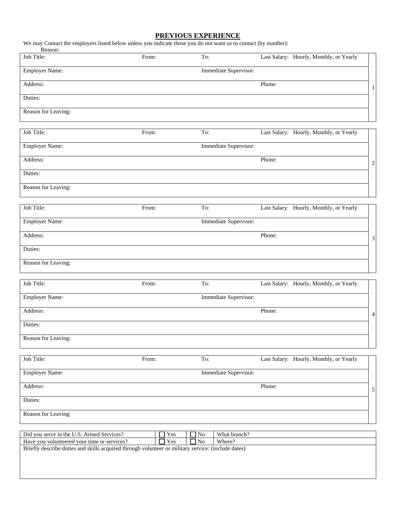## **PREVIOUS EXPERIENCE**

| We may Contact the employers listed below unless you indicate those you do not want us to contact (by number):<br>Reason: |       |            |                |     |                        |        |                                         |                |
|---------------------------------------------------------------------------------------------------------------------------|-------|------------|----------------|-----|------------------------|--------|-----------------------------------------|----------------|
| Job Title:                                                                                                                | From: |            |                | To: |                        |        | Last Salary: Hourly, Monthly, or Yearly |                |
| <b>Employer Name:</b>                                                                                                     |       |            |                |     | Immediate Supervisor:  |        |                                         |                |
| Address:                                                                                                                  |       |            |                |     |                        | Phone: |                                         | 1              |
| Duties:                                                                                                                   |       |            |                |     |                        |        |                                         |                |
| Reason for Leaving:                                                                                                       |       |            |                |     |                        |        |                                         |                |
|                                                                                                                           |       |            |                |     |                        |        |                                         |                |
| Job Title:                                                                                                                | From: |            |                | To: |                        |        | Last Salary: Hourly, Monthly, or Yearly |                |
| Employer Name:                                                                                                            |       |            |                |     | Immediate Supervisor:  |        |                                         |                |
| Address:                                                                                                                  |       |            |                |     |                        | Phone: |                                         | $\overline{c}$ |
| Duties:                                                                                                                   |       |            |                |     |                        |        |                                         |                |
| Reason for Leaving:                                                                                                       |       |            |                |     |                        |        |                                         |                |
| Job Title:                                                                                                                | From: |            |                | To: |                        |        | Last Salary: Hourly, Monthly, or Yearly |                |
| <b>Employer Name:</b>                                                                                                     |       |            |                |     | Immediate Supervisor:  |        |                                         |                |
|                                                                                                                           |       |            |                |     |                        |        |                                         |                |
| Address:                                                                                                                  |       |            |                |     |                        | Phone: |                                         | 3              |
| Duties:                                                                                                                   |       |            |                |     |                        |        |                                         |                |
| Reason for Leaving:                                                                                                       |       |            |                |     |                        |        |                                         |                |
| Job Title:                                                                                                                | From: |            |                | To: |                        |        | Last Salary: Hourly, Monthly, or Yearly |                |
|                                                                                                                           |       |            |                |     |                        |        |                                         |                |
| Employer Name:                                                                                                            |       |            |                |     | Immediate Supervisor:  |        |                                         |                |
| Address:                                                                                                                  |       |            |                |     |                        | Phone: |                                         | $\overline{4}$ |
| Duties:                                                                                                                   |       |            |                |     |                        |        |                                         |                |
| Reason for Leaving:                                                                                                       |       |            |                |     |                        |        |                                         |                |
| Job Title:                                                                                                                |       |            |                | To: |                        |        |                                         |                |
|                                                                                                                           | From: |            |                |     |                        |        | Last Salary: Hourly, Monthly, or Yearly |                |
| <b>Employer Name:</b>                                                                                                     |       |            |                |     | Immediate Supervisor:  |        |                                         |                |
| Address:                                                                                                                  |       |            |                |     |                        | Phone: |                                         | 5              |
| Duties:                                                                                                                   |       |            |                |     |                        |        |                                         |                |
| Reason for Leaving:                                                                                                       |       |            |                |     |                        |        |                                         |                |
|                                                                                                                           |       |            |                |     |                        |        |                                         |                |
| Did you serve in the U.S. Armed Services?<br>Have you volunteered your time or services?                                  |       | Yes<br>Yes | $\rm No$<br>No |     | What branch?<br>Where? |        |                                         |                |
| Briefly describe duties and skills acquired through volunteer or military service: (include dates)                        |       |            |                |     |                        |        |                                         |                |
|                                                                                                                           |       |            |                |     |                        |        |                                         |                |
|                                                                                                                           |       |            |                |     |                        |        |                                         |                |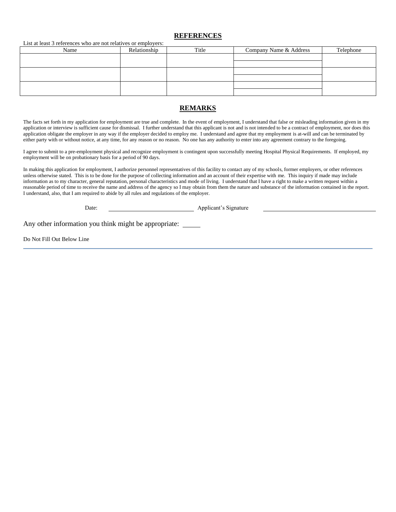#### **REFERENCES**

| List at reast 3 references who are not relatives of employers. |              |       |                        |           |  |  |  |  |  |
|----------------------------------------------------------------|--------------|-------|------------------------|-----------|--|--|--|--|--|
| Name                                                           | Relationship | Title | Company Name & Address | Telephone |  |  |  |  |  |
|                                                                |              |       |                        |           |  |  |  |  |  |
|                                                                |              |       |                        |           |  |  |  |  |  |
|                                                                |              |       |                        |           |  |  |  |  |  |
|                                                                |              |       |                        |           |  |  |  |  |  |
|                                                                |              |       |                        |           |  |  |  |  |  |
|                                                                |              |       |                        |           |  |  |  |  |  |

## **REMARKS**

The facts set forth in my application for employment are true and complete. In the event of employment, I understand that false or misleading information given in my application or interview is sufficient cause for dismissal. I further understand that this applicant is not and is not intended to be a contract of employment, nor does this application obligate the employer in any way if the employer decided to employ me. I understand and agree that my employment is at-will and can be terminated by either party with or without notice, at any time, for any reason or no reason. No one has any authority to enter into any agreement contrary to the foregoing.

I agree to submit to a pre-employment physical and recognize employment is contingent upon successfully meeting Hospital Physical Requirements. If employed, my employment will be on probationary basis for a period of 90 days.

In making this application for employment, I authorize personnel representatives of this facility to contact any of my schools, former employers, or other references unless otherwise stated. This is to be done for the purpose of collecting information and an account of their expertise with me. This inquiry if made may include information as to my character, general reputation, personal characteristics and mode of living. I understand that I have a right to make a written request within a reasonable period of time to receive the name and address of the agency so I may obtain from them the nature and substance of the information contained in the report. I understand, also, that I am required to abide by all rules and regulations of the employer.

Date: <u>\_\_\_\_\_\_\_\_\_\_\_\_\_\_\_\_\_\_\_\_\_\_\_\_\_\_\_\_\_\_\_\_</u> Applicant's Signature

Any other information you think might be appropriate: \_\_\_\_\_\_

List at least 3 references who are not relatives or employers:

Do Not Fill Out Below Line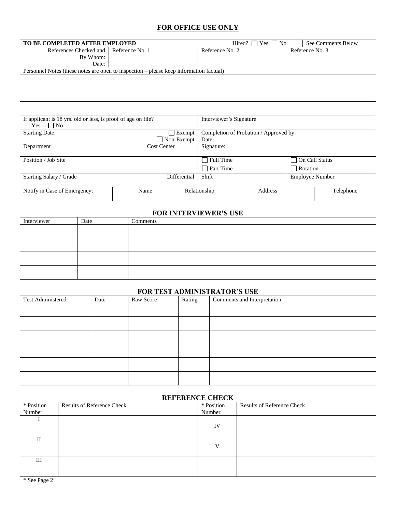## **FOR OFFICE USE ONLY**

| TO BE COMPLETED AFTER EMPLOYED                                                         |                    |            |                                                      | Hired? | $Yes \Box No$ |  |                        | See Comments Below |
|----------------------------------------------------------------------------------------|--------------------|------------|------------------------------------------------------|--------|---------------|--|------------------------|--------------------|
| References Checked and                                                                 | Reference No. 1    |            | Reference No. 2<br>Reference No. 3                   |        |               |  |                        |                    |
| By Whom:                                                                               |                    |            |                                                      |        |               |  |                        |                    |
| Date:                                                                                  |                    |            |                                                      |        |               |  |                        |                    |
| Personnel Notes (these notes are open to inspection - please keep information factual) |                    |            |                                                      |        |               |  |                        |                    |
|                                                                                        |                    |            |                                                      |        |               |  |                        |                    |
|                                                                                        |                    |            |                                                      |        |               |  |                        |                    |
|                                                                                        |                    |            |                                                      |        |               |  |                        |                    |
|                                                                                        |                    |            |                                                      |        |               |  |                        |                    |
|                                                                                        |                    |            |                                                      |        |               |  |                        |                    |
| If applicant is 18 yrs. old or less, is proof of age on file?                          |                    |            | Interviewer's Signature                              |        |               |  |                        |                    |
| Yes<br>$\Box$ No<br>$\blacksquare$                                                     |                    |            |                                                      |        |               |  |                        |                    |
| <b>Starting Date:</b>                                                                  |                    | Exempt     | Completion of Probation / Approved by:               |        |               |  |                        |                    |
|                                                                                        |                    | Non-Exempt | Date:                                                |        |               |  |                        |                    |
| Department                                                                             | <b>Cost Center</b> |            | Signature:                                           |        |               |  |                        |                    |
|                                                                                        |                    |            |                                                      |        |               |  |                        |                    |
| Position / Job Site                                                                    |                    |            | $\Box$ Full Time<br>On Call Status<br>$\blacksquare$ |        |               |  |                        |                    |
|                                                                                        |                    |            | $\Box$ Part Time<br>Rotation                         |        |               |  |                        |                    |
| Differential<br>Starting Salary / Grade                                                |                    |            | Shift                                                |        |               |  | <b>Employee Number</b> |                    |
|                                                                                        |                    |            |                                                      |        |               |  |                        |                    |
| Notify in Case of Emergency:                                                           | Name               |            | Relationship<br>Address                              |        |               |  | Telephone              |                    |
|                                                                                        |                    |            |                                                      |        |               |  |                        |                    |

# **FOR INTERVIEWER'S USE**

| Interviewer | Date | Comments |
|-------------|------|----------|
|             |      |          |
|             |      |          |
|             |      |          |
|             |      |          |
|             |      |          |

### **FOR TEST ADMINISTRATOR'S USE**

|                   |      | $\sim$ $-$ |        |                             |
|-------------------|------|------------|--------|-----------------------------|
| Test Administered | Date | Raw Score  | Rating | Comments and Interpretation |
|                   |      |            |        |                             |
|                   |      |            |        |                             |
|                   |      |            |        |                             |
|                   |      |            |        |                             |
|                   |      |            |        |                             |
|                   |      |            |        |                             |
|                   |      |            |        |                             |
|                   |      |            |        |                             |
|                   |      |            |        |                             |
|                   |      |            |        |                             |
|                   |      |            |        |                             |
|                   |      |            |        |                             |

## **REFERENCE CHECK**

| * Position | <b>Results of Reference Check</b> | * Position | <b>Results of Reference Check</b> |
|------------|-----------------------------------|------------|-----------------------------------|
| Number     |                                   | Number     |                                   |
|            |                                   |            |                                   |
|            |                                   | IV         |                                   |
|            |                                   |            |                                   |
| H          |                                   |            |                                   |
|            |                                   | V          |                                   |
|            |                                   |            |                                   |
| Ш          |                                   |            |                                   |
|            |                                   |            |                                   |
|            |                                   |            |                                   |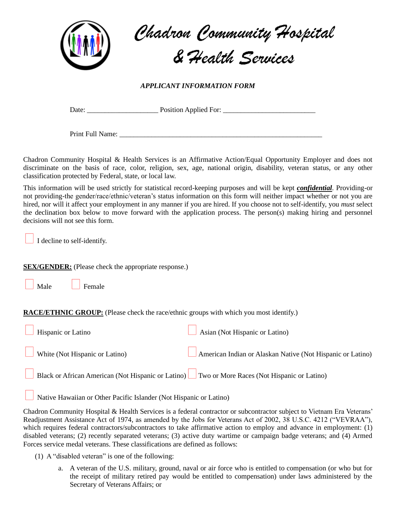

Chadron Community Hospital<br>& Health Services

#### *APPLICANT INFORMATION FORM*

Date: \_\_\_\_\_\_\_\_\_\_\_\_\_\_\_\_\_\_\_\_ Position Applied For: \_\_\_\_\_\_\_\_\_\_\_\_\_\_\_\_\_\_\_\_\_\_\_\_\_\_

Print Full Name:

Chadron Community Hospital & Health Services is an Affirmative Action/Equal Opportunity Employer and does not discriminate on the basis of race, color, religion, sex, age, national origin, disability, veteran status, or any other classification protected by Federal, state, or local law.

This information will be used strictly for statistical record-keeping purposes and will be kept *confidential*. Providing-or not providing-the gender/race/ethnic/veteran's status information on this form will neither impact whether or not you are hired, nor will it affect your employment in any manner if you are hired. If you choose not to self-identify, you *must* select the declination box below to move forward with the application process. The person(s) making hiring and personnel decisions will not see this form.

I decline to self-identify.

**SEX/GENDER:** (Please check the appropriate response.)

| Male | Female |
|------|--------|
|      |        |

**RACE/ETHNIC GROUP:** (Please check the race/ethnic groups with which you most identify.)

| $\Box$ Hispanic or Latino                                                                     | $\Box$ Asian (Not Hispanic or Latino)                      |
|-----------------------------------------------------------------------------------------------|------------------------------------------------------------|
| White (Not Hispanic or Latino)                                                                | American Indian or Alaskan Native (Not Hispanic or Latino) |
| Black or African American (Not Hispanic or Latino) Two or More Races (Not Hispanic or Latino) |                                                            |

Native Hawaiian or Other Pacific Islander (Not Hispanic or Latino)

Chadron Community Hospital & Health Services is a federal contractor or subcontractor subject to Vietnam Era Veterans' Readjustment Assistance Act of 1974, as amended by the Jobs for Veterans Act of 2002, 38 U.S.C. 4212 ("VEVRAA"), which requires federal contractors/subcontractors to take affirmative action to employ and advance in employment: (1) disabled veterans; (2) recently separated veterans; (3) active duty wartime or campaign badge veterans; and (4) Armed Forces service medal veterans. These classifications are defined as follows:

(1) A "disabled veteran" is one of the following:

a. A veteran of the U.S. military, ground, naval or air force who is entitled to compensation (or who but for the receipt of military retired pay would be entitled to compensation) under laws administered by the Secretary of Veterans Affairs; or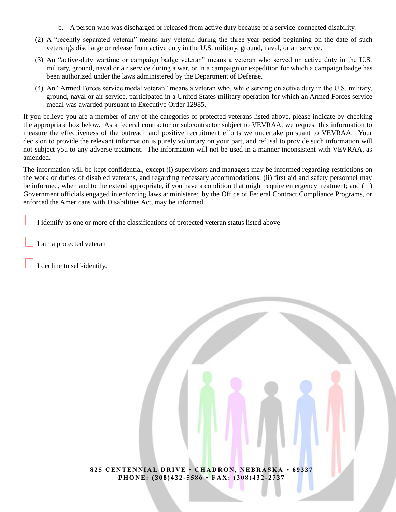- b. A person who was discharged or released from active duty because of a service-connected disability.
- (2) A "recently separated veteran" means any veteran during the three-year period beginning on the date of such veteran¡¦s discharge or release from active duty in the U.S. military, ground, naval, or air service.
- (3) An "active-duty wartime or campaign badge veteran" means a veteran who served on active duty in the U.S. military, ground, naval or air service during a war, or in a campaign or expedition for which a campaign badge has been authorized under the laws administered by the Department of Defense.
- (4) An "Armed Forces service medal veteran" means a veteran who, while serving on active duty in the U.S. military, ground, naval or air service, participated in a United States military operation for which an Armed Forces service medal was awarded pursuant to Executive Order 12985.

If you believe you are a member of any of the categories of protected veterans listed above, please indicate by checking the appropriate box below. As a federal contractor or subcontractor subject to VEVRAA, we request this information to measure the effectiveness of the outreach and positive recruitment efforts we undertake pursuant to VEVRAA. Your decision to provide the relevant information is purely voluntary on your part, and refusal to provide such information will not subject you to any adverse treatment. The information will not be used in a manner inconsistent with VEVRAA, as amended.

The information will be kept confidential, except (i) supervisors and managers may be informed regarding restrictions on the work or duties of disabled veterans, and regarding necessary accommodations; (ii) first aid and safety personnel may be informed, when and to the extend appropriate, if you have a condition that might require emergency treatment; and (iii) Government officials engaged in enforcing laws administered by the Office of Federal Contract Compliance Programs, or enforced the Americans with Disabilities Act, may be informed.

I identify as one or more of the classifications of protected veteran status listed above

I am a protected veteran

I decline to self-identify.

825 CENTENNIAL DRIVE • CHADRON, NEBRASKA • 69337 **P H O N E : ( 3 0 8 ) 4 3 2 - 5 5 8 6 • F A X : ( 3 0 8 ) 4 3 2 - 2 7 3 7**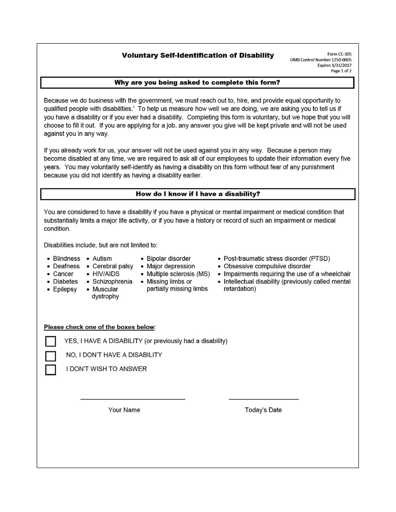## **Voluntary Self-Identification of Disability**

**Eorm CC-305** OMB Control Number 1250-0005 **Expires 1/31/2017** Page 1 of 2

#### Why are you being asked to complete this form?

Because we do business with the government, we must reach out to, hire, and provide equal opportunity to qualified people with disabilities.<sup>1</sup> To help us measure how well we are doing, we are asking you to tell us if you have a disability or if you ever had a disability. Completing this form is voluntary, but we hope that you will choose to fill it out. If you are applying for a job, any answer you give will be kept private and will not be used against you in any way.

If you already work for us, your answer will not be used against you in any way. Because a person may become disabled at any time, we are required to ask all of our employees to update their information every five years. You may voluntarily self-identify as having a disability on this form without fear of any punishment because you did not identify as having a disability earlier.

## How do I know if I have a disability?

You are considered to have a disability if you have a physical or mental impairment or medical condition that substantially limits a major life activity, or if you have a history or record of such an impairment or medical condition.

Disabilities include, but are not limited to:

- Blindness Autism
- Bipolar disorder
- Deafness Cerebral palsy Major depression
- Cancer HIV/AIDS

• Epilepsy

- -
	- Muscular dystrophy
- Diabetes Schizophrenia Missing limbs or
	- partially missing limbs
- Post-traumatic stress disorder (PTSD)
- Obsessive compulsive disorder
- Multiple sclerosis (MS) Impairments requiring the use of a wheelchair
	- Intellectual disability (previously called mental retardation)

#### Please check one of the boxes below:

YES, I HAVE A DISABILITY (or previously had a disability)

NO, I DON'T HAVE A DISABILITY

I DON'T WISH TO ANSWER

**Your Name** 

**Today's Date**